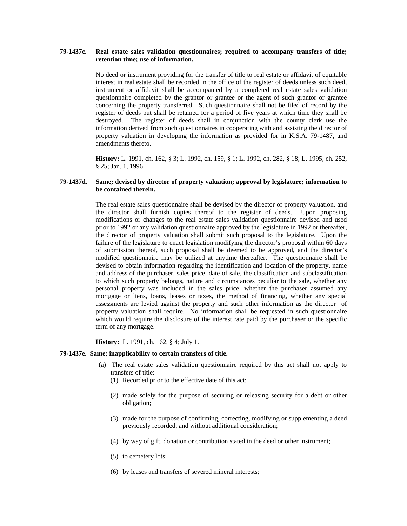# **79-1437c. Real estate sales validation questionnaires; required to accompany transfers of title; retention time; use of information.**

No deed or instrument providing for the transfer of title to real estate or affidavit of equitable interest in real estate shall be recorded in the office of the register of deeds unless such deed, instrument or affidavit shall be accompanied by a completed real estate sales validation questionnaire completed by the grantor or grantee or the agent of such grantor or grantee concerning the property transferred. Such questionnaire shall not be filed of record by the register of deeds but shall be retained for a period of five years at which time they shall be destroyed. The register of deeds shall in conjunction with the county clerk use the information derived from such questionnaires in cooperating with and assisting the director of property valuation in developing the information as provided for in K.S.A. 79-1487, and amendments thereto.

**History:** L. 1991, ch. 162, § 3; L. 1992, ch. 159, § 1; L. 1992, ch. 282, § 18; L. 1995, ch. 252, § 25; Jan. 1, 1996.

## **79-1437d. Same; devised by director of property valuation; approval by legislature; information to be contained therein.**

The real estate sales questionnaire shall be devised by the director of property valuation, and the director shall furnish copies thereof to the register of deeds. Upon proposing modifications or changes to the real estate sales validation questionnaire devised and used prior to 1992 or any validation questionnaire approved by the legislature in 1992 or thereafter, the director of property valuation shall submit such proposal to the legislature. Upon the failure of the legislature to enact legislation modifying the director's proposal within 60 days of submission thereof, such proposal shall be deemed to be approved, and the director's modified questionnaire may be utilized at anytime thereafter. The questionnaire shall be devised to obtain information regarding the identification and location of the property, name and address of the purchaser, sales price, date of sale, the classification and subclassification to which such property belongs, nature and circumstances peculiar to the sale, whether any personal property was included in the sales price, whether the purchaser assumed any mortgage or liens, loans, leases or taxes, the method of financing, whether any special assessments are levied against the property and such other information as the director of property valuation shall require. No information shall be requested in such questionnaire which would require the disclosure of the interest rate paid by the purchaser or the specific term of any mortgage.

**History:** L. 1991, ch. 162, § 4; July 1.

### **79-1437e. Same; inapplicability to certain transfers of title.**

- (a) The real estate sales validation questionnaire required by this act shall not apply to transfers of title:
	- (1) Recorded prior to the effective date of this act;
	- (2) made solely for the purpose of securing or releasing security for a debt or other obligation;
	- (3) made for the purpose of confirming, correcting, modifying or supplementing a deed previously recorded, and without additional consideration;
	- (4) by way of gift, donation or contribution stated in the deed or other instrument;
	- (5) to cemetery lots;
	- (6) by leases and transfers of severed mineral interests;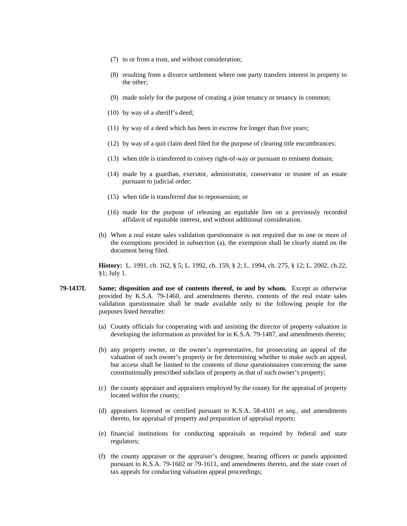- (7) to or from a trust, and without consideration;
- (8) resulting from a divorce settlement where one party transfers interest in property to the other;
- (9) made solely for the purpose of creating a joint tenancy or tenancy in common;
- (10) by way of a sheriff's deed;
- (11) by way of a deed which has been in escrow for longer than five years;
- (12) by way of a quit claim deed filed for the purpose of clearing title encumbrances;
- (13) when title is transferred to convey right-of-way or pursuant to eminent domain;
- (14) made by a guardian, executor, administrator, conservator or trustee of an estate pursuant to judicial order;
- (15) when title is transferred due to repossession; or
- (16) made for the purpose of releasing an equitable lien on a previously recorded affidavit of equitable interest, and without additional consideration.
- (b) When a real estate sales validation questionnaire is not required due to one or more of the exemptions provided in subsection (a), the exemption shall be clearly stated on the document being filed.

**History:** L. 1991, ch. 162, § 5; L. 1992, ch. 159, § 2; L. 1994, ch. 275, § 12; L. 2002, ch.22, §1; July 1.

- **79-1437f. Same; disposition and use of contents thereof, to and by whom.** Except as otherwise provided by K.S.A. 79-1460, and amendments thereto, contents of the real estate sales validation questionnaire shall be made available only to the following people for the purposes listed hereafter:
	- (a) County officials for cooperating with and assisting the director of property valuation in developing the information as provided for in K.S.A. 79-1487, and amendments thereto;
	- (b) any property owner, or the owner's representative, for prosecuting an appeal of the valuation of such owner's property or for determining whether to make such an appeal, but access shall be limited to the contents of those questionnaires concerning the same constitutionally prescribed subclass of property as that of such owner's property;
	- (c) the county appraiser and appraisers employed by the county for the appraisal of property located within the county;
	- (d) appraisers licensed or certified pursuant to K.S.A. 58-4101 *et seq.*, and amendments thereto, for appraisal of property and preparation of appraisal reports;
	- (e) financial institutions for conducting appraisals as required by federal and state regulators;
	- (f) the county appraiser or the appraiser's designee, hearing officers or panels appointed pursuant to K.S.A. 79-1602 or 79-1611, and amendments thereto, and the state court of tax appeals for conducting valuation appeal proceedings;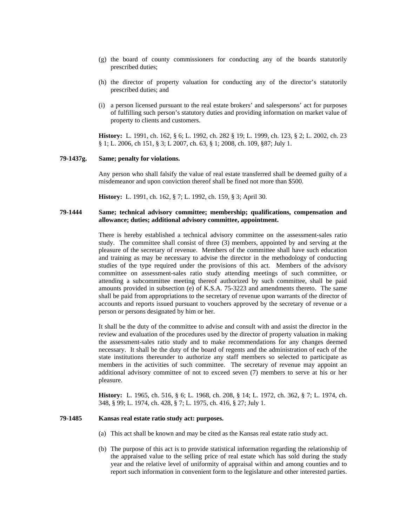- (g) the board of county commissioners for conducting any of the boards statutorily prescribed duties;
- (h) the director of property valuation for conducting any of the director's statutorily prescribed duties; and
- (i) a person licensed pursuant to the real estate brokers' and salespersons' act for purposes of fulfilling such person's statutory duties and providing information on market value of property to clients and customers.

 **History:** L. 1991, ch. 162, § 6; L. 1992, ch. 282 § 19; L. 1999, ch. 123, § 2; L. 2002, ch. 23 § 1; L. 2006, ch 151, § 3; L 2007, ch. 63, § 1; 2008, ch. 109, §87; July 1.

### **79-1437g. Same; penalty for violations.**

Any person who shall falsify the value of real estate transferred shall be deemed guilty of a misdemeanor and upon conviction thereof shall be fined not more than \$500.

**History:** L. 1991, ch. 162, § 7; L. 1992, ch. 159, § 3; April 30.

## **79-1444 Same; technical advisory committee; membership; qualifications, compensation and allowance; duties; additional advisory committee, appointment.**

There is hereby established a technical advisory committee on the assessment-sales ratio study. The committee shall consist of three (3) members, appointed by and serving at the pleasure of the secretary of revenue. Members of the committee shall have such education and training as may be necessary to advise the director in the methodology of conducting studies of the type required under the provisions of this act. Members of the advisory committee on assessment-sales ratio study attending meetings of such committee, or attending a subcommittee meeting thereof authorized by such committee, shall be paid amounts provided in subsection (e) of K.S.A. 75-3223 and amendments thereto. The same shall be paid from appropriations to the secretary of revenue upon warrants of the director of accounts and reports issued pursuant to vouchers approved by the secretary of revenue or a person or persons designated by him or her.

It shall be the duty of the committee to advise and consult with and assist the director in the review and evaluation of the procedures used by the director of property valuation in making the assessment-sales ratio study and to make recommendations for any changes deemed necessary. It shall be the duty of the board of regents and the administration of each of the state institutions thereunder to authorize any staff members so selected to participate as members in the activities of such committee. The secretary of revenue may appoint an additional advisory committee of not to exceed seven (7) members to serve at his or her pleasure.

**History:** L. 1965, ch. 516, § 6; L. 1968, ch. 208, § 14; L. 1972, ch. 362, § 7; L. 1974, ch. 348, § 99; L. 1974, ch. 428, § 7; L. 1975, ch. 416, § 27; July 1.

# **79-1485 Kansas real estate ratio study act: purposes.**

- (a) This act shall be known and may be cited as the Kansas real estate ratio study act.
- (b) The purpose of this act is to provide statistical information regarding the relationship of the appraised value to the selling price of real estate which has sold during the study year and the relative level of uniformity of appraisal within and among counties and to report such information in convenient form to the legislature and other interested parties.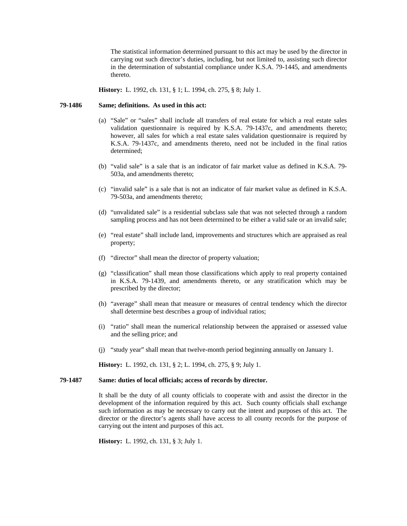The statistical information determined pursuant to this act may be used by the director in carrying out such director's duties, including, but not limited to, assisting such director in the determination of substantial compliance under K.S.A. 79-1445, and amendments thereto.

**History:** L. 1992, ch. 131, § 1; L. 1994, ch. 275, § 8; July 1.

## **79-1486 Same; definitions. As used in this act:**

- (a) "Sale" or "sales" shall include all transfers of real estate for which a real estate sales validation questionnaire is required by K.S.A. 79-1437c, and amendments thereto; however, all sales for which a real estate sales validation questionnaire is required by K.S.A. 79-1437c, and amendments thereto, need not be included in the final ratios determined;
- (b) "valid sale" is a sale that is an indicator of fair market value as defined in K.S.A. 79- 503a, and amendments thereto;
- (c) "invalid sale" is a sale that is not an indicator of fair market value as defined in K.S.A. 79-503a, and amendments thereto;
- (d) "unvalidated sale" is a residential subclass sale that was not selected through a random sampling process and has not been determined to be either a valid sale or an invalid sale;
- (e) "real estate" shall include land, improvements and structures which are appraised as real property;
- (f) "director" shall mean the director of property valuation;
- (g) "classification" shall mean those classifications which apply to real property contained in K.S.A. 79-1439, and amendments thereto, or any stratification which may be prescribed by the director;
- (h) "average" shall mean that measure or measures of central tendency which the director shall determine best describes a group of individual ratios;
- (i) "ratio" shall mean the numerical relationship between the appraised or assessed value and the selling price; and
- (j) "study year" shall mean that twelve-month period beginning annually on January 1.

**History:** L. 1992, ch. 131, § 2; L. 1994, ch. 275, § 9; July 1.

#### **79-1487 Same: duties of local officials; access of records by director.**

It shall be the duty of all county officials to cooperate with and assist the director in the development of the information required by this act. Such county officials shall exchange such information as may be necessary to carry out the intent and purposes of this act. The director or the director's agents shall have access to all county records for the purpose of carrying out the intent and purposes of this act.

**History:** L. 1992, ch. 131, § 3; July 1.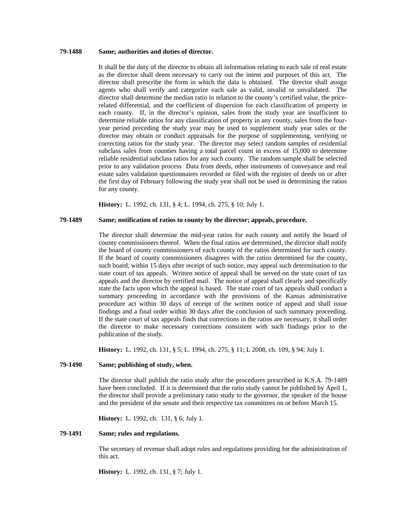# **79-1488 Same; authorities and duties of director.**

It shall be the duty of the director to obtain all information relating to each sale of real estate as the director shall deem necessary to carry out the intent and purposes of this act. The director shall prescribe the form in which the data is obtained. The director shall assign agents who shall verify and categorize each sale as valid, invalid or unvalidated. The director shall determine the median ratio in relation to the county's certified value, the pricerelated differential, and the coefficient of dispersion for each classification of property in each county. If, in the director's opinion, sales from the study year are insufficient to determine reliable ratios for any classification of property in any county, sales from the fouryear period preceding the study year may be used to supplement study year sales or the director may obtain or conduct appraisals for the purpose of supplementing, verifying or correcting ratios for the study year. The director may select random samples of residential subclass sales from counties having a total parcel count in excess of 15,000 to determine reliable residential subclass ratios for any such county. The random sample shall be selected prior to any validation process Data from deeds, other instruments of conveyance and real estate sales validation questionnaires recorded or filed with the register of deeds on or after the first day of February following the study year shall not be used in determining the ratios for any county.

**History:** L. 1992, ch. 131, § 4; L. 1994, ch. 275, § 10; July 1.

## **79-1489 Same; notification of ratios to county by the director; appeals, procedure.**

The director shall determine the mid-year ratios for each county and notify the board of county commissioners thereof. When the final ratios are determined, the director shall notify the board of county commissioners of each county of the ratios determined for such county. If the board of county commissioners disagrees with the ratios determined for the county, such board, within 15 days after receipt of such notice, may appeal such determination to the state court of tax appeals. Written notice of appeal shall be served on the state court of tax appeals and the director by certified mail. The notice of appeal shall clearly and specifically state the facts upon which the appeal is based. The state court of tax appeals shall conduct a summary proceeding in accordance with the provisions of the Kansas administrative procedure act within 30 days of receipt of the written notice of appeal and shall issue findings and a final order within 30 days after the conclusion of such summary proceeding. If the state court of tax appeals finds that corrections in the ratios are necessary, it shall order the director to make necessary corrections consistent with such findings prior to the publication of the study.

**History:** L. 1992, ch. 131, § 5; L. 1994, ch. 275, § 11; L 2008, ch. 109, § 94; July 1.

# **79-1490 Same; publishing of study, when.**

The director shall publish the ratio study after the procedures prescribed in K.S.A. 79-1489 have been concluded. If it is determined that the ratio study cannot be published by April 1, the director shall provide a preliminary ratio study to the governor, the speaker of the house and the president of the senate and their respective tax committees on or before March 15.

**History:** L. 1992, ch. 131, § 6; July 1.

#### **79-1491 Same; rules and regulations.**

The secretary of revenue shall adopt rules and regulations providing for the administration of this act.

**History:** L. 1992, ch. 131, § 7; July 1.